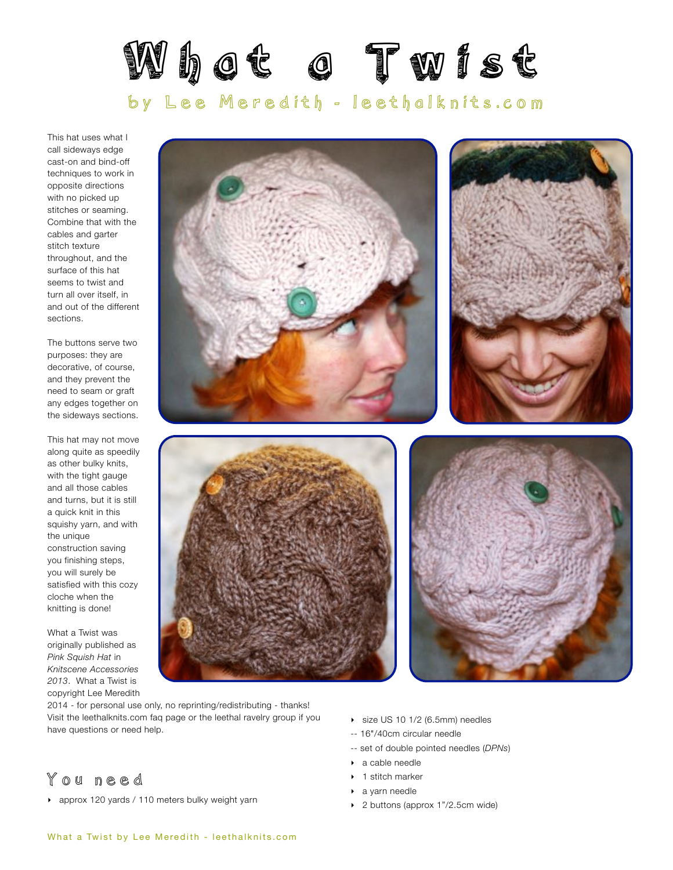

This hat uses what I call sideways edge cast-on and bind-off techniques to work in opposite directions with no picked up stitches or seaming. Combine that with the cables and garter stitch texture throughout, and the surface of this hat seems to twist and turn all over itself, in and out of the different sections.

The buttons serve two purposes: they are decorative, of course, and they prevent the need to seam or graft any edges together on the sideways sections.

This hat may not move along quite as speedily as other bulky knits, with the tight gauge and all those cables and turns, but it is still a quick knit in this squishy yarn, and with the unique construction saving you finishing steps, you will surely be satisfied with this cozy cloche when the knitting is done!

What a Twist was originally published as *Pink Squish Hat* in *Knitscene Accessories 2013*. What a Twist is copyright Lee Meredith









2014 - for personal use only, no reprinting/redistributing - thanks! Visit the leethalknits.com [faq page](http://www.leethalknits.com/faq.html) or the leethal [ravelry group](http://www.ravelry.com/groups/leethal-knitters) if you have questions or need help.

### You need

‣ approx 120 yards / 110 meters bulky weight yarn

- ‣ size US 10 1/2 (6.5mm) needles
- -- 16"/40cm circular needle
- -- set of double pointed needles (*DPNs*)
- ‣ a cable needle
- 1 stitch marker
- ‣ a yarn needle
- ‣ 2 buttons (approx 1"/2.5cm wide)